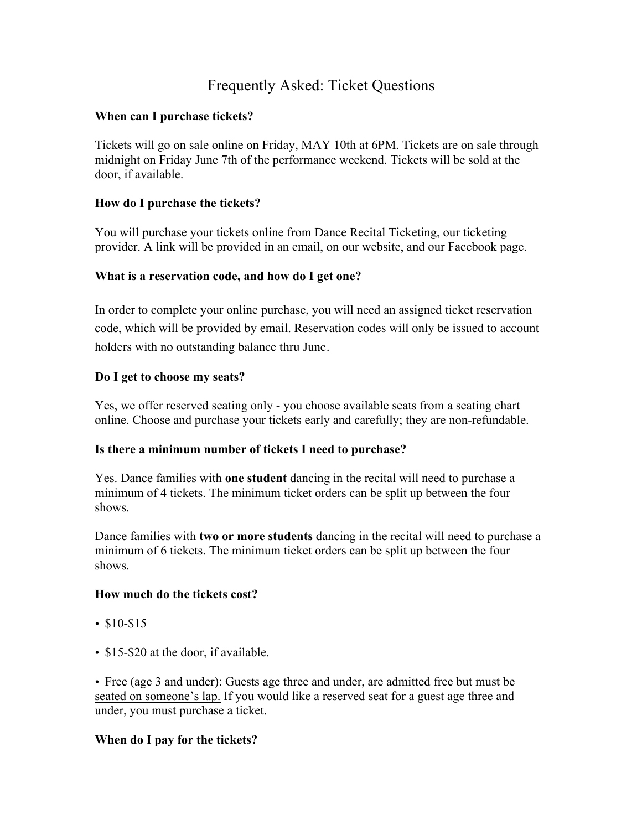# Frequently Asked: Ticket Questions

## **When can I purchase tickets?**

Tickets will go on sale online on Friday, MAY 10th at 6PM. Tickets are on sale through midnight on Friday June 7th of the performance weekend. Tickets will be sold at the door, if available.

### **How do I purchase the tickets?**

You will purchase your tickets online from Dance Recital Ticketing, our ticketing provider. A link will be provided in an email, on our website, and our Facebook page.

### **What is a reservation code, and how do I get one?**

In order to complete your online purchase, you will need an assigned ticket reservation code, which will be provided by email. Reservation codes will only be issued to account holders with no outstanding balance thru June.

### **Do I get to choose my seats?**

Yes, we offer reserved seating only - you choose available seats from a seating chart online. Choose and purchase your tickets early and carefully; they are non-refundable.

#### **Is there a minimum number of tickets I need to purchase?**

Yes. Dance families with **one student** dancing in the recital will need to purchase a minimum of 4 tickets. The minimum ticket orders can be split up between the four shows.

Dance families with **two or more students** dancing in the recital will need to purchase a minimum of 6 tickets. The minimum ticket orders can be split up between the four shows.

#### **How much do the tickets cost?**

- \$10-\$15
- \$15-\$20 at the door, if available.

• Free (age 3 and under): Guests age three and under, are admitted free but must be seated on someone's lap. If you would like a reserved seat for a guest age three and under, you must purchase a ticket.

# **When do I pay for the tickets?**